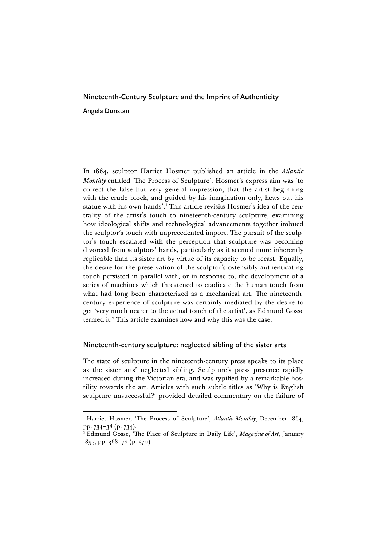# Nineteenth-Century Sculpture and the Imprint of Authenticity

Angela Dunstan

In 1864, sculptor Harriet Hosmer published an article in the *Atlantic Monthly* entitled 'The Process of Sculpture'. Hosmer's express aim was 'to correct the false but very general impression, that the artist beginning with the crude block, and guided by his imagination only, hews out his statue with his own hands'. <sup>1</sup> This article revisits Hosmer's idea of the centrality of the artist's touch to nineteenth-century sculpture, examining how ideological shifts and technological advancements together imbued the sculptor's touch with unprecedented import. The pursuit of the sculptor's touch escalated with the perception that sculpture was becoming divorced from sculptors' hands, particularly as it seemed more inherently replicable than its sister art by virtue of its capacity to be recast. Equally, the desire for the preservation of the sculptor's ostensibly authenticating touch persisted in parallel with, or in response to, the development of a series of machines which threatened to eradicate the human touch from what had long been characterized as a mechanical art. The nineteenthcentury experience of sculpture was certainly mediated by the desire to get 'very much nearer to the actual touch of the artist', as Edmund Gosse termed it.<sup>2</sup> This article examines how and why this was the case.

## Nineteenth-century sculpture: neglected sibling of the sister arts

The state of sculpture in the nineteenth-century press speaks to its place as the sister arts' neglected sibling. Sculpture's press presence rapidly increased during the Victorian era, and was typified by a remarkable hostility towards the art. Articles with such subtle titles as 'Why is English sculpture unsuccessful?' provided detailed commentary on the failure of

<sup>&</sup>lt;sup>1</sup> Harriet Hosmer, 'The Process of Sculpture', *Atlantic Monthly*, December 1864, pp. 734–38 (p. 734).

<sup>2</sup> Edmund Gosse, 'The Place of Sculpture in Daily Life', *Magazine of Art*, January 1895, pp. 368–72 (p. 370).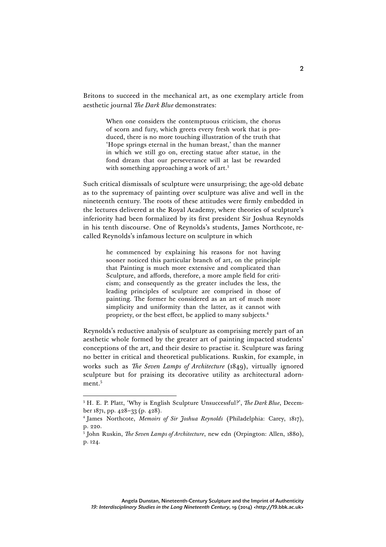Britons to succeed in the mechanical art, as one exemplary article from aesthetic journal *The Dark Blue* demonstrates:

> When one considers the contemptuous criticism, the chorus of scorn and fury, which greets every fresh work that is produced, there is no more touching illustration of the truth that 'Hope springs eternal in the human breast,' than the manner in which we still go on, erecting statue after statue, in the fond dream that our perseverance will at last be rewarded with something approaching a work of art.<sup>3</sup>

Such critical dismissals of sculpture were unsurprising; the age-old debate as to the supremacy of painting over sculpture was alive and well in the nineteenth century. The roots of these attitudes were firmly embedded in the lectures delivered at the Royal Academy, where theories of sculpture's inferiority had been formalized by its first president Sir Joshua Reynolds in his tenth discourse. One of Reynolds's students, James Northcote, recalled Reynolds's infamous lecture on sculpture in which

> he commenced by explaining his reasons for not having sooner noticed this particular branch of art, on the principle that Painting is much more extensive and complicated than Sculpture, and affords, therefore, a more ample field for criticism; and consequently as the greater includes the less, the leading principles of sculpture are comprised in those of painting. The former he considered as an art of much more simplicity and uniformity than the latter, as it cannot with propriety, or the best effect, be applied to many subjects.4

Reynolds's reductive analysis of sculpture as comprising merely part of an aesthetic whole formed by the greater art of painting impacted students' conceptions of the art, and their desire to practise it. Sculpture was faring no better in critical and theoretical publications. Ruskin, for example, in works such as *The Seven Lamps of Architecture* (1849), virtually ignored sculpture but for praising its decorative utility as architectural adornment.<sup>5</sup>

 <sup>3</sup> H. E. P. Platt, 'Why is English Sculpture Unsuccessful?', *The Dark Blue*, December 1871, pp. 428–33 (p. 428).

<sup>4</sup> James Northcote, *Memoirs of Sir Joshua Reynolds* (Philadelphia: Carey, 1817), p. 220.

<sup>5</sup> John Ruskin, *The Seven Lamps of Architecture*, new edn (Orpington: Allen, 1880), p. 124.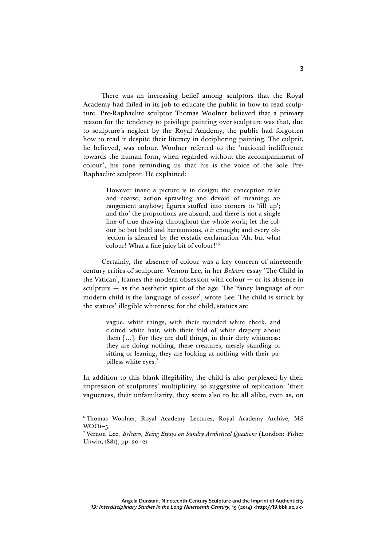There was an increasing belief among sculptors that the Royal Academy had failed in its job to educate the public in how to read sculpture. Pre-Raphaelite sculptor Thomas Woolner believed that a primary reason for the tendency to privilege painting over sculpture was that, due to sculpture's neglect by the Royal Academy, the public had forgotten how to read it despite their literacy in deciphering painting. The culprit, he believed, was colour. Woolner referred to the 'national indifference towards the human form, when regarded without the accompaniment of colour', his tone reminding us that his is the voice of the sole Pre-Raphaelite sculptor. He explained:

3

However inane a picture is in design; the conception false and coarse; action sprawling and devoid of meaning; arrangement anyhow; figures stuffed into corners to 'fill up'; and tho' the proportions are absurd, and there is not a single line of true drawing throughout the whole work; let the colour be but bold and harmonious, *it is* enough; and every objection is silenced by the ecstatic exclamation 'Ah, but what colour! What a fine juicy bit of colour!' 6

Certainly, the absence of colour was a key concern of nineteenthcentury critics of sculpture. Vernon Lee, in her *Belcaro* essay 'The Child in the Vatican', frames the modern obsession with colour — or its absence in sculpture  $-$  as the aesthetic spirit of the age. The 'fancy language of our modern child is the language of *colour*', wrote Lee. The child is struck by the statues' illegible whiteness; for the child, statues are

> vague, white things, with their rounded white cheek, and clotted white hair, with their fold of white drapery about them […]. For they are dull things, in their dirty whiteness: they are doing nothing, these creatures, merely standing or sitting or leaning, they are looking at nothing with their pupilless white eyes. 7

In addition to this blank illegibility, the child is also perplexed by their impression of sculptures' multiplicity, so suggestive of replication: 'their vagueness, their unfamiliarity, they seem also to be all alike, even as, on

 <sup>6</sup> Thomas Woolner, Royal Academy Lectures, Royal Academy Archive, MS  $WOO1-5$ .

<sup>7</sup> Vernon Lee, *Belcaro, Being Essays on Sundry Aesthetical Questions* (London: Fisher Unwin, 1881), pp. 20–21.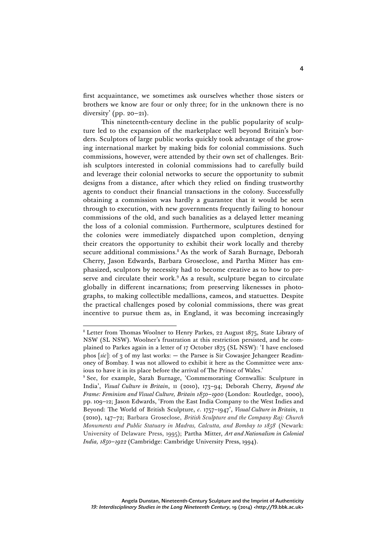first acquaintance, we sometimes ask ourselves whether those sisters or brothers we know are four or only three; for in the unknown there is no diversity' (pp.  $20-21$ ).

This nineteenth-century decline in the public popularity of sculpture led to the expansion of the marketplace well beyond Britain's borders. Sculptors of large public works quickly took advantage of the growing international market by making bids for colonial commissions. Such commissions, however, were attended by their own set of challenges. British sculptors interested in colonial commissions had to carefully build and leverage their colonial networks to secure the opportunity to submit designs from a distance, after which they relied on finding trustworthy agents to conduct their financial transactions in the colony. Successfully obtaining a commission was hardly a guarantee that it would be seen through to execution, with new governments frequently failing to honour commissions of the old, and such banalities as a delayed letter meaning the loss of a colonial commission. Furthermore, sculptures destined for the colonies were immediately dispatched upon completion, denying their creators the opportunity to exhibit their work locally and thereby secure additional commissions.<sup>8</sup> As the work of Sarah Burnage, Deborah Cherry, Jason Edwards, Barbara Groseclose, and Partha Mitter has emphasized, sculptors by necessity had to become creative as to how to preserve and circulate their work.<sup>9</sup> As a result, sculpture began to circulate globally in different incarnations; from preserving likenesses in photographs, to making collectible medallions, cameos, and statuettes. Despite the practical challenges posed by colonial commissions, there was great incentive to pursue them as, in England, it was becoming increasingly

<sup>&</sup>lt;sup>8</sup> Letter from Thomas Woolner to Henry Parkes, 22 August 1875, State Library of NSW (SL NSW). Woolner's frustration at this restriction persisted, and he complained to Parkes again in a letter of 17 October 1875 (SL NSW): 'I have enclosed phos [*sic*]: of 3 of my last works: — the Parsee is Sir Cowasjee Jehangeer Readimoney of Bombay. I was not allowed to exhibit it here as the Committee were anxious to have it in its place before the arrival of The Prince of Wales.'

<sup>9</sup> See, for example, Sarah Burnage, 'Commemorating Cornwallis: Sculpture in India', *Visual Culture in Britain*, 11 (2010), 173–94; Deborah Cherry, *Beyond the Frame: Feminism and Visual Culture, Britain 1850–1900* (London: Routledge, 2000), pp. 109–12; Jason Edwards, 'From the East India Company to the West Indies and Beyond: The World of British Sculpture, *c*. 1757–1947', *Visual Culture in Britain*, 11 (2010), 147–72; Barbara Groseclose, *British Sculpture and the Company Raj: Church Monuments and Public Statuary in Madras, Calcutta, and Bombay to 1858* (Newark: University of Delaware Press, 1995); Partha Mitter, *Art and Nationalism in Colonial India, 1850–1922* (Cambridge: Cambridge University Press, 1994).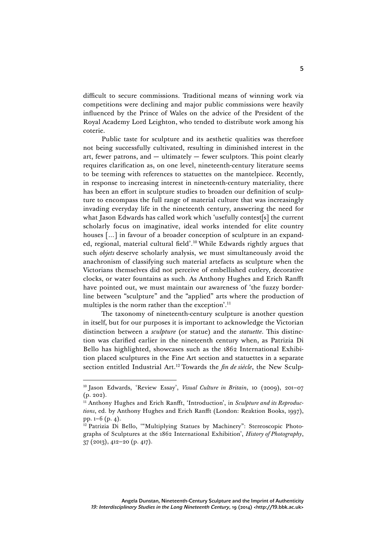difficult to secure commissions. Traditional means of winning work via competitions were declining and major public commissions were heavily influenced by the Prince of Wales on the advice of the President of the Royal Academy Lord Leighton, who tended to distribute work among his coterie.

Public taste for sculpture and its aesthetic qualities was therefore not being successfully cultivated, resulting in diminished interest in the art, fewer patrons, and — ultimately — fewer sculptors. This point clearly requires clarification as, on one level, nineteenth-century literature seems to be teeming with references to statuettes on the mantelpiece. Recently, in response to increasing interest in nineteenth-century materiality, there has been an effort in sculpture studies to broaden our definition of sculpture to encompass the full range of material culture that was increasingly invading everyday life in the nineteenth century, answering the need for what Jason Edwards has called work which 'usefully contest[s] the current scholarly focus on imaginative, ideal works intended for elite country houses [...] in favour of a broader conception of sculpture in an expanded, regional, material cultural field'.<sup>10</sup> While Edwards rightly argues that such *objets* deserve scholarly analysis, we must simultaneously avoid the anachronism of classifying such material artefacts as sculpture when the Victorians themselves did not perceive of embellished cutlery, decorative clocks, or water fountains as such. As Anthony Hughes and Erich Ranfft have pointed out, we must maintain our awareness of 'the fuzzy borderline between "sculpture" and the "applied" arts where the production of multiples is the norm rather than the exception'. 11

The taxonomy of nineteenth-century sculpture is another question in itself, but for our purposes it is important to acknowledge the Victorian distinction between a *sculpture* (or statue) and the *statuette*. This distinction was clarified earlier in the nineteenth century when, as Patrizia Di Bello has highlighted, showcases such as the 1862 International Exhibition placed sculptures in the Fine Art section and statuettes in a separate section entitled Industrial Art.<sup>12</sup> Towards the *fin de siècle*, the New Sculp-

 <sup>10</sup> Jason Edwards, 'Review Essay', *Visual Culture in Britain*, 10 (2009), 201–07 (p. 202).

<sup>&</sup>lt;sup>11</sup> Anthony Hughes and Erich Ranfft, 'Introduction', in *Sculpture and its Reproductions*, ed. by Anthony Hughes and Erich Ranfft (London: Reaktion Books, 1997), pp. 1–6 (p. 4).

<sup>&</sup>lt;sup>12</sup> Patrizia Di Bello, "Multiplying Statues by Machinery": Stereoscopic Photographs of Sculptures at the 1862 International Exhibition', *History of Photography*, 37 (2013), 412–20 (p. 417).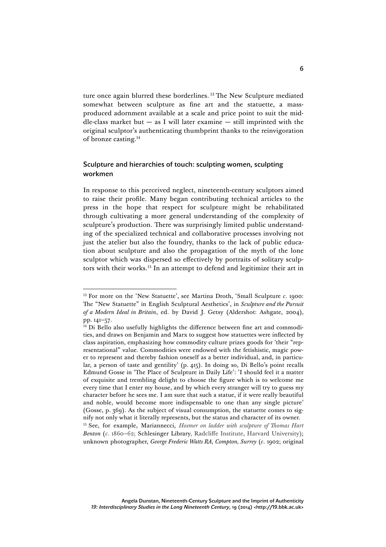ture once again blurred these borderlines.<sup>13</sup> The New Sculpture mediated somewhat between sculpture as fine art and the statuette, a massproduced adornment available at a scale and price point to suit the middle-class market but  $-$  as I will later examine  $-$  still imprinted with the original sculptor's authenticating thumbprint thanks to the reinvigoration of bronze casting.14

# Sculpture and hierarchies of touch: sculpting women, sculpting workmen

In response to this perceived neglect, nineteenth-century sculptors aimed to raise their profile. Many began contributing technical articles to the press in the hope that respect for sculpture might be rehabilitated through cultivating a more general understanding of the complexity of sculpture's production. There was surprisingly limited public understanding of the specialized technical and collaborative processes involving not just the atelier but also the foundry, thanks to the lack of public education about sculpture and also the propagation of the myth of the lone sculptor which was dispersed so effectively by portraits of solitary sculptors with their works.15 In an attempt to defend and legitimize their art in

<sup>&</sup>lt;sup>13</sup> For more on the 'New Statuette', see Martina Droth, 'Small Sculpture  $c$ . 1900: The "New Statuette" in English Sculptural Aesthetics', in *Sculpture and the Pursuit of a Modern Ideal in Britain*, ed. by David J. Getsy (Aldershot: Ashgate, 2004), pp. 141–57.

 $14$  Di Bello also usefully highlights the difference between fine art and commodities, and draws on Benjamin and Marx to suggest how statuettes were inflected by class aspiration, emphasizing how commodity culture prizes goods for 'their "representational" value. Commodities were endowed with the fetishistic, magic power to represent and thereby fashion oneself as a better individual, and, in particular, a person of taste and gentility' (p. 415). In doing so, Di Bello's point recalls Edmund Gosse in 'The Place of Sculpture in Daily Life': 'I should feel it a matter of exquisite and trembling delight to choose the figure which is to welcome me every time that I enter my house, and by which every stranger will try to guess my character before he sees me. I am sure that such a statue, if it were really beautiful and noble, would become more indispensable to one than any single picture' (Gosse, p. 369). As the subject of visual consumption, the statuette comes to signify not only what it literally represents, but the status and character of its owner. <sup>15</sup> See, for example, Mariannecci, *Hosmer on ladder with sculpture of Thomas Hart Benton* (*c*. 1860–62; Schlesinger Library, Radcliffe Institute, Harvard University);

unknown photographer, *George Frederic Watts RA, Compton, Surrey* (*c*. 1902; original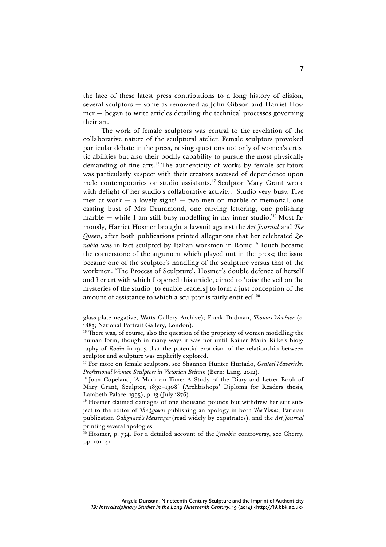the face of these latest press contributions to a long history of elision, several sculptors — some as renowned as John Gibson and Harriet Hosmer — began to write articles detailing the technical processes governing their art.

The work of female sculptors was central to the revelation of the collaborative nature of the sculptural atelier. Female sculptors provoked particular debate in the press, raising questions not only of women's artistic abilities but also their bodily capability to pursue the most physically demanding of fine arts.16 The authenticity of works by female sculptors was particularly suspect with their creators accused of dependence upon male contemporaries or studio assistants.<sup>17</sup> Sculptor Mary Grant wrote with delight of her studio's collaborative activity: 'Studio very busy. Five men at work  $-$  a lovely sight!  $-$  two men on marble of memorial, one casting bust of Mrs Drummond, one carving lettering, one polishing marble — while I am still busy modelling in my inner studio.' <sup>18</sup> Most famously, Harriet Hosmer brought a lawsuit against the *Art Journal* and *The Queen*, after both publications printed allegations that her celebrated *Zenobia* was in fact sculpted by Italian workmen in Rome.<sup>19</sup> Touch became the cornerstone of the argument which played out in the press; the issue became one of the sculptor's handling of the sculpture versus that of the workmen. 'The Process of Sculpture', Hosmer's double defence of herself and her art with which I opened this article, aimed to 'raise the veil on the mysteries of the studio [to enable readers] to form a just conception of the amount of assistance to which a sculptor is fairly entitled'. $^{20}$ 

 glass-plate negative, Watts Gallery Archive); Frank Dudman, *Thomas Woolner* (*c*. 1883; National Portrait Gallery, London).

<sup>&</sup>lt;sup>16</sup> There was, of course, also the question of the propriety of women modelling the human form, though in many ways it was not until Rainer Maria Rilke's biography of *Rodin* in 1903 that the potential eroticism of the relationship between sculptor and sculpture was explicitly explored.

<sup>17</sup> For more on female sculptors, see Shannon Hunter Hurtado, *Genteel Mavericks: Professional Women Sculptors in Victorian Britain* (Bern: Lang, 2012).

<sup>&</sup>lt;sup>18</sup> Joan Copeland, 'A Mark on Time: A Study of the Diary and Letter Book of Mary Grant, Sculptor, 1830–1908' (Archbishops' Diploma for Readers thesis, Lambeth Palace, 1995), p. 13 (July 1876).

<sup>&</sup>lt;sup>19</sup> Hosmer claimed damages of one thousand pounds but withdrew her suit subject to the editor of *The Queen* publishing an apology in both *The Times*, Parisian publication *Galignani's Messenger* (read widely by expatriates), and the *Art Journal*  printing several apologies*.*

 $20$  Hosmer, p. 734. For a detailed account of the *Zenobia* controversy, see Cherry, pp. 101–41.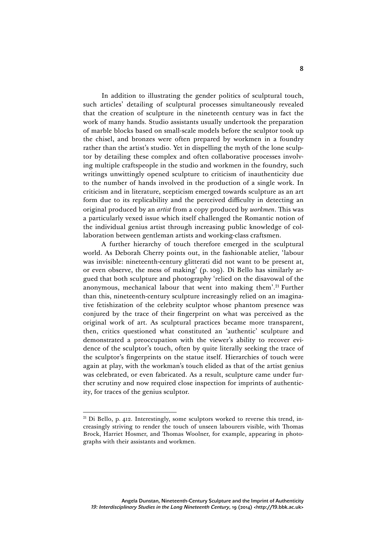In addition to illustrating the gender politics of sculptural touch, such articles' detailing of sculptural processes simultaneously revealed that the creation of sculpture in the nineteenth century was in fact the work of many hands. Studio assistants usually undertook the preparation of marble blocks based on small-scale models before the sculptor took up the chisel, and bronzes were often prepared by workmen in a foundry rather than the artist's studio. Yet in dispelling the myth of the lone sculptor by detailing these complex and often collaborative processes involving multiple craftspeople in the studio and workmen in the foundry, such writings unwittingly opened sculpture to criticism of inauthenticity due to the number of hands involved in the production of a single work. In criticism and in literature, scepticism emerged towards sculpture as an art form due to its replicability and the perceived difficulty in detecting an original produced by an *artist* from a copy produced by *workmen*. This was a particularly vexed issue which itself challenged the Romantic notion of the individual genius artist through increasing public knowledge of collaboration between gentleman artists and working-class craftsmen.

A further hierarchy of touch therefore emerged in the sculptural world. As Deborah Cherry points out, in the fashionable atelier, 'labour was invisible: nineteenth-century glitterati did not want to be present at, or even observe, the mess of making' (p. 109). Di Bello has similarly argued that both sculpture and photography 'relied on the disavowal of the anonymous, mechanical labour that went into making them'. <sup>21</sup> Further than this, nineteenth-century sculpture increasingly relied on an imaginative fetishization of the celebrity sculptor whose phantom presence was conjured by the trace of their fingerprint on what was perceived as the original work of art. As sculptural practices became more transparent, then, critics questioned what constituted an 'authentic' sculpture and demonstrated a preoccupation with the viewer's ability to recover evidence of the sculptor's touch, often by quite literally seeking the trace of the sculptor's fingerprints on the statue itself. Hierarchies of touch were again at play, with the workman's touch elided as that of the artist genius was celebrated, or even fabricated. As a result, sculpture came under further scrutiny and now required close inspection for imprints of authenticity, for traces of the genius sculptor.

<sup>&</sup>lt;sup>21</sup> Di Bello, p. 412. Interestingly, some sculptors worked to reverse this trend, increasingly striving to render the touch of unseen labourers visible, with Thomas Brock, Harriet Hosmer, and Thomas Woolner, for example, appearing in photographs with their assistants and workmen.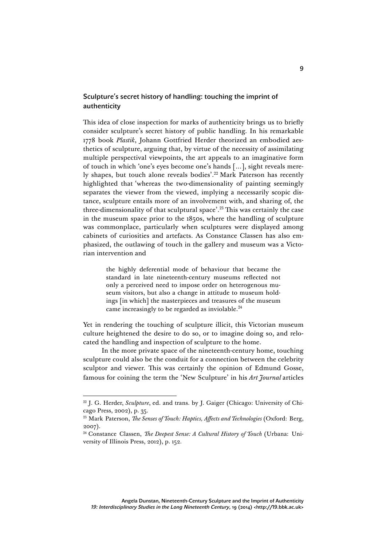# Sculpture's secret history of handling: touching the imprint of authenticity

This idea of close inspection for marks of authenticity brings us to briefly consider sculpture's secret history of public handling. In his remarkable 1778 book *Plastik*, Johann Gottfried Herder theorized an embodied aesthetics of sculpture, arguing that, by virtue of the necessity of assimilating multiple perspectival viewpoints, the art appeals to an imaginative form of touch in which 'one's eyes become one's hands […], sight reveals merely shapes, but touch alone reveals bodies'. <sup>22</sup> Mark Paterson has recently highlighted that 'whereas the two-dimensionality of painting seemingly separates the viewer from the viewed, implying a necessarily scopic distance, sculpture entails more of an involvement with, and sharing of, the three-dimensionality of that sculptural space'. <sup>23</sup> This was certainly the case in the museum space prior to the 1850s, where the handling of sculpture was commonplace, particularly when sculptures were displayed among cabinets of curiosities and artefacts. As Constance Classen has also emphasized, the outlawing of touch in the gallery and museum was a Victorian intervention and

> the highly deferential mode of behaviour that became the standard in late nineteenth-century museums reflected not only a perceived need to impose order on heterogenous museum visitors, but also a change in attitude to museum holdings [in which] the masterpieces and treasures of the museum came increasingly to be regarded as inviolable.<sup>24</sup>

Yet in rendering the touching of sculpture illicit, this Victorian museum culture heightened the desire to do so, or to imagine doing so, and relocated the handling and inspection of sculpture to the home.

In the more private space of the nineteenth-century home, touching sculpture could also be the conduit for a connection between the celebrity sculptor and viewer. This was certainly the opinion of Edmund Gosse, famous for coining the term the 'New Sculpture' in his *Art Journal* articles

<sup>&</sup>lt;sup>22</sup> J. G. Herder, *Sculpture*, ed. and trans. by J. Gaiger (Chicago: University of Chicago Press, 2002), p. 35.

<sup>&</sup>lt;sup>23</sup> Mark Paterson, *The Senses of Touch: Haptics, Affects and Technologies* (Oxford: Berg, 2007).

<sup>24</sup> Constance Classen, *The Deepest Sense: A Cultural History of Touch* (Urbana: University of Illinois Press, 2012), p. 152.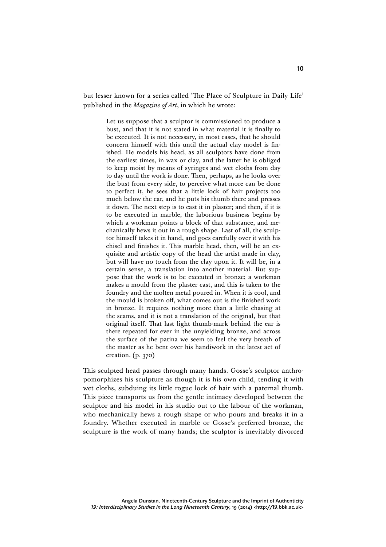but lesser known for a series called 'The Place of Sculpture in Daily Life' published in the *Magazine of Art*, in which he wrote:

> Let us suppose that a sculptor is commissioned to produce a bust, and that it is not stated in what material it is finally to be executed. It is not necessary, in most cases, that he should concern himself with this until the actual clay model is finished. He models his head, as all sculptors have done from the earliest times, in wax or clay, and the latter he is obliged to keep moist by means of syringes and wet cloths from day to day until the work is done. Then, perhaps, as he looks over the bust from every side, to perceive what more can be done to perfect it, he sees that a little lock of hair projects too much below the ear, and he puts his thumb there and presses it down. The next step is to cast it in plaster; and then, if it is to be executed in marble, the laborious business begins by which a workman points a block of that substance, and mechanically hews it out in a rough shape. Last of all, the sculptor himself takes it in hand, and goes carefully over it with his chisel and finishes it. This marble head, then, will be an exquisite and artistic copy of the head the artist made in clay, but will have no touch from the clay upon it. It will be, in a certain sense, a translation into another material. But suppose that the work is to be executed in bronze; a workman makes a mould from the plaster cast, and this is taken to the foundry and the molten metal poured in. When it is cool, and the mould is broken off, what comes out is the finished work in bronze. It requires nothing more than a little chasing at the seams, and it is not a translation of the original, but that original itself. That last light thumb-mark behind the ear is there repeated for ever in the unyielding bronze, and across the surface of the patina we seem to feel the very breath of the master as he bent over his handiwork in the latest act of creation. (p. 370)

This sculpted head passes through many hands. Gosse's sculptor anthropomorphizes his sculpture as though it is his own child, tending it with wet cloths, subduing its little rogue lock of hair with a paternal thumb. This piece transports us from the gentle intimacy developed between the sculptor and his model in his studio out to the labour of the workman, who mechanically hews a rough shape or who pours and breaks it in a foundry. Whether executed in marble or Gosse's preferred bronze, the sculpture is the work of many hands; the sculptor is inevitably divorced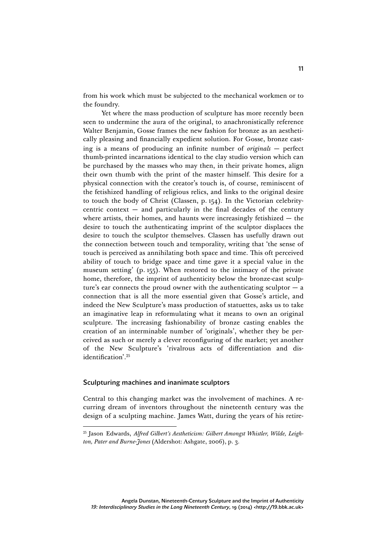from his work which must be subjected to the mechanical workmen or to the foundry.

Yet where the mass production of sculpture has more recently been seen to undermine the aura of the original, to anachronistically reference Walter Benjamin, Gosse frames the new fashion for bronze as an aesthetically pleasing and financially expedient solution. For Gosse, bronze casting is a means of producing an infinite number of *originals* — perfect thumb-printed incarnations identical to the clay studio version which can be purchased by the masses who may then, in their private homes, align their own thumb with the print of the master himself. This desire for a physical connection with the creator's touch is, of course, reminiscent of the fetishized handling of religious relics, and links to the original desire to touch the body of Christ (Classen, p. 154). In the Victorian celebritycentric context  $-$  and particularly in the final decades of the century where artists, their homes, and haunts were increasingly fetishized  $-$  the desire to touch the authenticating imprint of the sculptor displaces the desire to touch the sculptor themselves. Classen has usefully drawn out the connection between touch and temporality, writing that 'the sense of touch is perceived as annihilating both space and time. This oft perceived ability of touch to bridge space and time gave it a special value in the museum setting' (p. 155). When restored to the intimacy of the private home, therefore, the imprint of authenticity below the bronze-cast sculpture's ear connects the proud owner with the authenticating sculptor  $- a$ connection that is all the more essential given that Gosse's article, and indeed the New Sculpture's mass production of statuettes, asks us to take an imaginative leap in reformulating what it means to own an original sculpture. The increasing fashionability of bronze casting enables the creation of an interminable number of 'originals', whether they be perceived as such or merely a clever reconfiguring of the market; yet another of the New Sculpture's 'rivalrous acts of differentiation and disidentification'. 25

### Sculpturing machines and inanimate sculptors

Central to this changing market was the involvement of machines. A recurring dream of inventors throughout the nineteenth century was the design of a sculpting machine. James Watt, during the years of his retire-

 <sup>25</sup> Jason Edwards, *Alfred Gilbert's Aestheticism: Gilbert Amongst Whistler, Wilde, Leighton, Pater and Burne-Jones* (Aldershot: Ashgate, 2006), p. 3.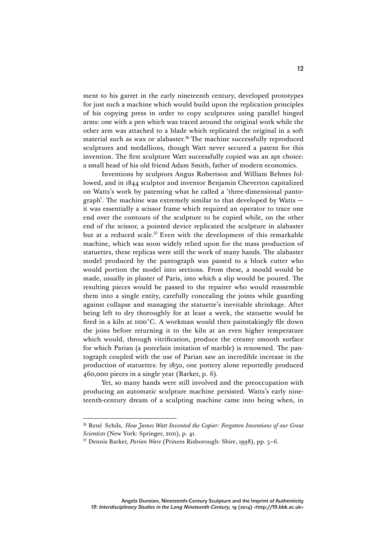ment to his garret in the early nineteenth century, developed prototypes for just such a machine which would build upon the replication principles of his copying press in order to copy sculptures using parallel hinged arms: one with a pen which was traced around the original work while the other arm was attached to a blade which replicated the original in a soft material such as wax or alabaster.<sup>26</sup> The machine successfully reproduced sculptures and medallions, though Watt never secured a patent for this invention. The first sculpture Watt successfully copied was an apt choice: a small head of his old friend Adam Smith, father of modern economics.

Inventions by sculptors Angus Robertson and William Behnes followed, and in 1844 sculptor and inventor Benjamin Cheverton capitalized on Watts's work by patenting what he called a 'three-dimensional pantograph'. The machine was extremely similar to that developed by Watts it was essentially a scissor frame which required an operator to trace one end over the contours of the sculpture to be copied while, on the other end of the scissor, a pointed device replicated the sculpture in alabaster but at a reduced scale.<sup>27</sup> Even with the development of this remarkable machine, which was soon widely relied upon for the mass production of statuettes, these replicas were still the work of many hands. The alabaster model produced by the pantograph was passed to a block cutter who would portion the model into sections. From these, a mould would be made, usually in plaster of Paris, into which a slip would be poured. The resulting pieces would be passed to the repairer who would reassemble them into a single entity, carefully concealing the joints while guarding against collapse and managing the statuette's inevitable shrinkage. After being left to dry thoroughly for at least a week, the statuette would be fired in a kiln at 1100˚C. A workman would then painstakingly file down the joins before returning it to the kiln at an even higher temperature which would, through vitrification, produce the creamy smooth surface for which Parian (a porcelain imitation of marble) is renowned. The pantograph coupled with the use of Parian saw an incredible increase in the production of statuettes: by 1850, one pottery alone reportedly produced 460,000 pieces in a single year (Barker, p. 6).

Yet, so many hands were still involved and the preoccupation with producing an automatic sculpture machine persisted. Watts's early nineteenth-century dream of a sculpting machine came into being when, in

 <sup>26</sup> René Schils, *How James Watt Invented the Copier: Forgotten Inventions of our Great Scientists* (New York: Springer, 2011), p. 41.

<sup>27</sup> Dennis Barker, *Parian Ware* (Princes Risborough: Shire, 1998), pp. 5–6.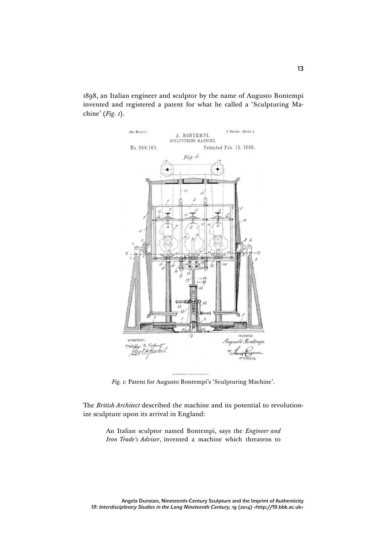1898, an Italian engineer and sculptor by the name of Augusto Bontempi invented and registered a patent for what he called a 'Sculpturing Machine' (*Fig. 1*).



*Fig. 1*: Patent for Augusto Bontempi's 'Sculpturing Machine'.

The *British Architect* described the machine and its potential to revolutionize sculpture upon its arrival in England:

> An Italian sculptor named Bontempi, says the *Engineer and Iron Trade's Adviser*, invented a machine which threatens to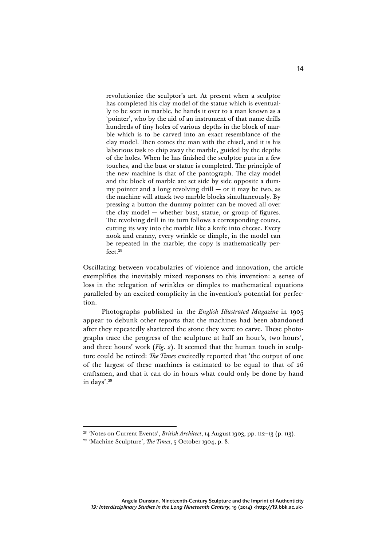revolutionize the sculptor's art. At present when a sculptor has completed his clay model of the statue which is eventually to be seen in marble, he hands it over to a man known as a 'pointer', who by the aid of an instrument of that name drills hundreds of tiny holes of various depths in the block of marble which is to be carved into an exact resemblance of the clay model. Then comes the man with the chisel, and it is his laborious task to chip away the marble, guided by the depths of the holes. When he has finished the sculptor puts in a few touches, and the bust or statue is completed. The principle of the new machine is that of the pantograph. The clay model and the block of marble are set side by side opposite a dummy pointer and a long revolving drill  $-$  or it may be two, as the machine will attack two marble blocks simultaneously. By pressing a button the dummy pointer can be moved all over the clay model — whether bust, statue, or group of figures. The revolving drill in its turn follows a corresponding course, cutting its way into the marble like a knife into cheese. Every nook and cranny, every wrinkle or dimple, in the model can be repeated in the marble; the copy is mathematically perfect.<sup>28</sup>

Oscillating between vocabularies of violence and innovation, the article exemplifies the inevitably mixed responses to this invention: a sense of loss in the relegation of wrinkles or dimples to mathematical equations paralleled by an excited complicity in the invention's potential for perfection.

Photographs published in the *English Illustrated Magazine* in 1905 appear to debunk other reports that the machines had been abandoned after they repeatedly shattered the stone they were to carve. These photographs trace the progress of the sculpture at half an hour's, two hours', and three hours' work (*Fig. 2*). It seemed that the human touch in sculpture could be retired: *The Times* excitedly reported that 'the output of one of the largest of these machines is estimated to be equal to that of 26 craftsmen, and that it can do in hours what could only be done by hand in days'. 29

 <sup>28</sup> 'Notes on Current Events', *British Architect*, 14 August 1903, pp. 112–13 (p. 113).

<sup>29</sup> 'Machine Sculpture', *The Times*, 5 October 1904, p. 8.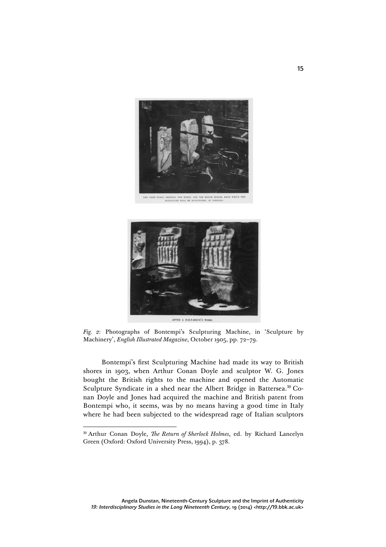



*Fig. 2*: Photographs of Bontempi's Sculpturing Machine, in 'Sculpture by Machinery', *English Illustrated Magazine*, October 1905, pp. 72–79.

Bontempi's first Sculpturing Machine had made its way to British shores in 1903, when Arthur Conan Doyle and sculptor W. G. Jones bought the British rights to the machine and opened the Automatic Sculpture Syndicate in a shed near the Albert Bridge in Battersea.<sup>30</sup> Conan Doyle and Jones had acquired the machine and British patent from Bontempi who, it seems, was by no means having a good time in Italy where he had been subjected to the widespread rage of Italian sculptors

 <sup>30</sup> Arthur Conan Doyle, *The Return of Sherlock Holmes*, ed. by Richard Lancelyn Green (Oxford: Oxford University Press, 1994), p. 378.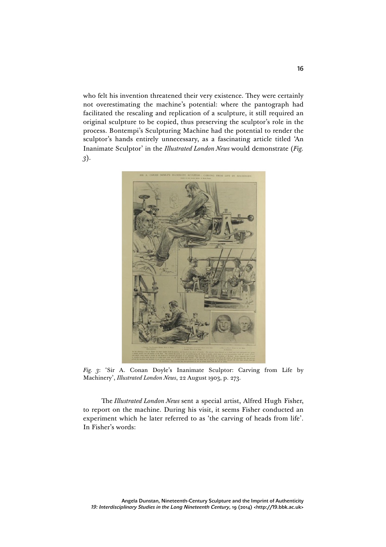who felt his invention threatened their very existence. They were certainly not overestimating the machine's potential: where the pantograph had facilitated the rescaling and replication of a sculpture, it still required an original sculpture to be copied, thus preserving the sculptor's role in the process. Bontempi's Sculpturing Machine had the potential to render the sculptor's hands entirely unnecessary, as a fascinating article titled 'An Inanimate Sculptor' in the *Illustrated London News* would demonstrate (*Fig. 3*).



*Fig. 3*: 'Sir A. Conan Doyle's Inanimate Sculptor: Carving from Life by Machinery', *Illustrated London News*, 22 August 1903, p. 273.

The *Illustrated London News* sent a special artist, Alfred Hugh Fisher, to report on the machine. During his visit, it seems Fisher conducted an experiment which he later referred to as 'the carving of heads from life'. In Fisher's words: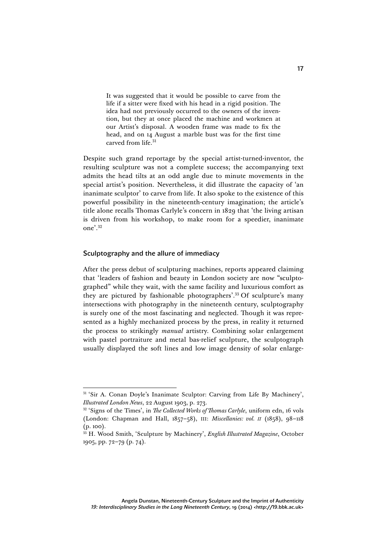It was suggested that it would be possible to carve from the life if a sitter were fixed with his head in a rigid position. The idea had not previously occurred to the owners of the invention, but they at once placed the machine and workmen at our Artist's disposal. A wooden frame was made to fix the head, and on 14 August a marble bust was for the first time carved from life.<sup>31</sup>

Despite such grand reportage by the special artist-turned-inventor, the resulting sculpture was not a complete success; the accompanying text admits the head tilts at an odd angle due to minute movements in the special artist's position. Nevertheless, it did illustrate the capacity of 'an inanimate sculptor' to carve from life. It also spoke to the existence of this powerful possibility in the nineteenth-century imagination; the article's title alone recalls Thomas Carlyle's concern in 1829 that 'the living artisan is driven from his workshop, to make room for a speedier, inanimate one'. 32

#### Sculptography and the allure of immediacy

After the press debut of sculpturing machines, reports appeared claiming that 'leaders of fashion and beauty in London society are now "sculptographed" while they wait, with the same facility and luxurious comfort as they are pictured by fashionable photographers'. <sup>33</sup> Of sculpture's many intersections with photography in the nineteenth century, sculptography is surely one of the most fascinating and neglected. Though it was represented as a highly mechanized process by the press, in reality it returned the process to strikingly *manual* artistry. Combining solar enlargement with pastel portraiture and metal bas-relief sculpture, the sculptograph usually displayed the soft lines and low image density of solar enlarge-

<sup>&</sup>lt;sup>31</sup> 'Sir A. Conan Doyle's Inanimate Sculptor: Carving from Life By Machinery', *Illustrated London News*, 22 August 1903, p. 273.

<sup>32</sup> 'Signs of the Times', in *The Collected Works of Thomas Carlyle*, uniform edn, 16 vols (London: Chapman and Hall, 1857–58), III: *Miscellanies: vol. II* (1858), 98–118 (p. 100).

<sup>33</sup> H. Wood Smith, 'Sculpture by Machinery', *English Illustrated Magazine*, October 1905, pp. 72–79 (p. 74).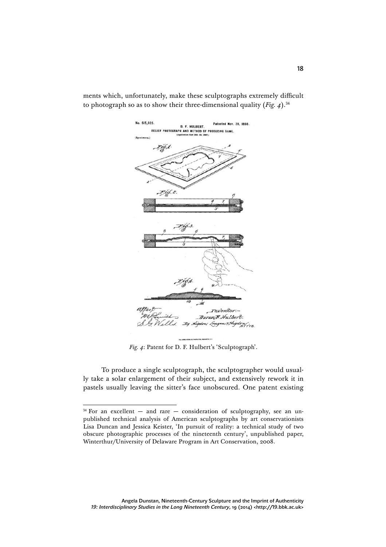

ments which, unfortunately, make these sculptographs extremely difficult to photograph so as to show their three-dimensional quality (*Fig. 4*). 34

*Fig. 4*: Patent for D. F. Hulbert's 'Sculptograph'.

To produce a single sculptograph, the sculptographer would usually take a solar enlargement of their subject, and extensively rework it in pastels usually leaving the sitter's face unobscured. One patent existing

 $34$  For an excellent – and rare – consideration of sculptography, see an unpublished technical analysis of American sculptographs by art conservationists Lisa Duncan and Jessica Keister, 'In pursuit of reality: a technical study of two obscure photographic processes of the nineteenth century', unpublished paper, Winterthur/University of Delaware Program in Art Conservation, 2008.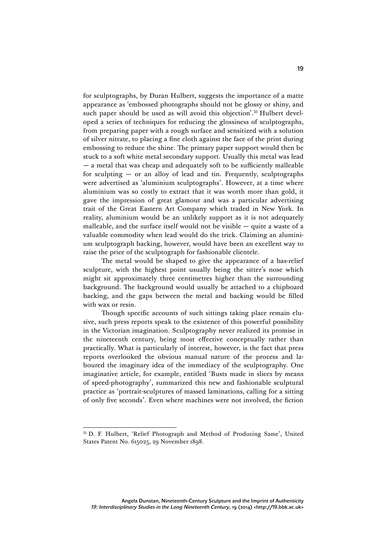for sculptographs, by Duran Hulbert, suggests the importance of a matte appearance as 'embossed photographs should not be glossy or shiny, and such paper should be used as will avoid this objection'. <sup>35</sup> Hulbert developed a series of techniques for reducing the glossiness of sculptographs, from preparing paper with a rough surface and sensitized with a solution of silver nitrate, to placing a fine cloth against the face of the print during embossing to reduce the shine. The primary paper support would then be stuck to a soft white metal secondary support. Usually this metal was lead — a metal that was cheap and adequately soft to be sufficiently malleable for sculpting  $-$  or an alloy of lead and tin. Frequently, sculptographs were advertised as 'aluminium sculptographs'. However, at a time where aluminium was so costly to extract that it was worth more than gold, it gave the impression of great glamour and was a particular advertising trait of the Great Eastern Art Company which traded in New York. In reality, aluminium would be an unlikely support as it is not adequately malleable, and the surface itself would not be visible — quite a waste of a valuable commodity when lead would do the trick. Claiming an aluminium sculptograph backing, however, would have been an excellent way to raise the price of the sculptograph for fashionable clientele.

The metal would be shaped to give the appearance of a bas-relief sculpture, with the highest point usually being the sitter's nose which might sit approximately three centimetres higher than the surrounding background. The background would usually be attached to a chipboard backing, and the gaps between the metal and backing would be filled with wax or resin.

Though specific accounts of such sittings taking place remain elusive, such press reports speak to the existence of this powerful possibility in the Victorian imagination. Sculptography never realized its promise in the nineteenth century, being most effective conceptually rather than practically. What is particularly of interest, however, is the fact that press reports overlooked the obvious manual nature of the process and laboured the imaginary idea of the immediacy of the sculptography. One imaginative article, for example, entitled 'Busts made in slices by means of speed-photography', summarized this new and fashionable sculptural practice as 'portrait-sculptures of massed laminations, calling for a sitting of only five seconds'. Even where machines were not involved, the fiction

 <sup>35</sup> D. F. Hulbert, 'Relief Photograph and Method of Producing Same', United States Patent No. 615025, 29 November 1898.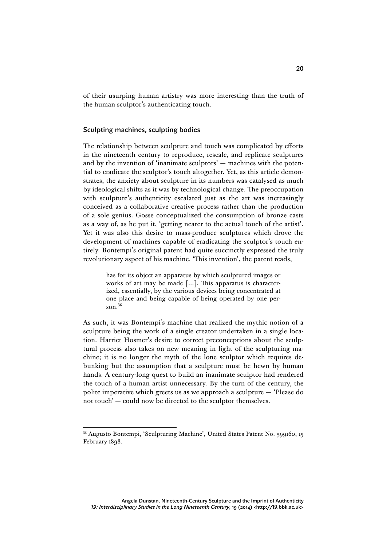of their usurping human artistry was more interesting than the truth of the human sculptor's authenticating touch.

#### Sculpting machines, sculpting bodies

The relationship between sculpture and touch was complicated by efforts in the nineteenth century to reproduce, rescale, and replicate sculptures and by the invention of 'inanimate sculptors' — machines with the potential to eradicate the sculptor's touch altogether. Yet, as this article demonstrates, the anxiety about sculpture in its numbers was catalysed as much by ideological shifts as it was by technological change. The preoccupation with sculpture's authenticity escalated just as the art was increasingly conceived as a collaborative creative process rather than the production of a sole genius. Gosse conceptualized the consumption of bronze casts as a way of, as he put it, 'getting nearer to the actual touch of the artist'. Yet it was also this desire to mass-produce sculptures which drove the development of machines capable of eradicating the sculptor's touch entirely. Bontempi's original patent had quite succinctly expressed the truly revolutionary aspect of his machine. 'This invention', the patent reads,

> has for its object an apparatus by which sculptured images or works of art may be made […]. This apparatus is characterized, essentially, by the various devices being concentrated at one place and being capable of being operated by one person. $36$

As such, it was Bontempi's machine that realized the mythic notion of a sculpture being the work of a single creator undertaken in a single location. Harriet Hosmer's desire to correct preconceptions about the sculptural process also takes on new meaning in light of the sculpturing machine; it is no longer the myth of the lone sculptor which requires debunking but the assumption that a sculpture must be hewn by human hands. A century-long quest to build an inanimate sculptor had rendered the touch of a human artist unnecessary. By the turn of the century, the polite imperative which greets us as we approach a sculpture — 'Please do not touch' — could now be directed to the sculptor themselves.

 <sup>36</sup> Augusto Bontempi, 'Sculpturing Machine', United States Patent No. 599160, 15 February 1898.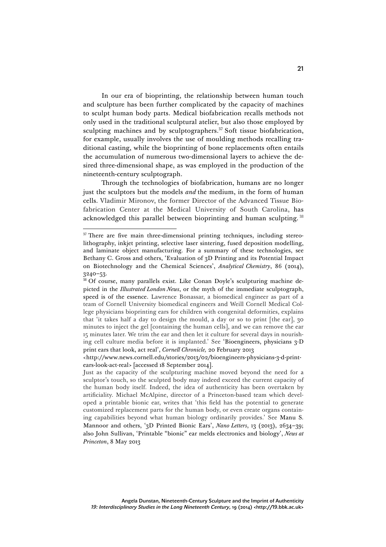In our era of bioprinting, the relationship between human touch and sculpture has been further complicated by the capacity of machines to sculpt human body parts. Medical biofabrication recalls methods not only used in the traditional sculptural atelier, but also those employed by sculpting machines and by sculptographers.<sup>37</sup> Soft tissue biofabrication, for example, usually involves the use of moulding methods recalling traditional casting, while the bioprinting of bone replacements often entails the accumulation of numerous two-dimensional layers to achieve the desired three-dimensional shape, as was employed in the production of the nineteenth-century sculptograph.

Through the technologies of biofabrication, humans are no longer just the sculptors but the models *and* the medium, in the form of human cells. Vladimir Mironov, the former Director of the Advanced Tissue Biofabrication Center at the Medical University of South Carolina, has acknowledged this parallel between bioprinting and human sculpting. <sup>38</sup>

<sup>&</sup>lt;sup>37</sup> There are five main three-dimensional printing techniques, including stereolithography, inkjet printing, selective laser sintering, fused deposition modelling, and laminate object manufacturing. For a summary of these technologies, see Bethany C. Gross and others, 'Evaluation of 3D Printing and its Potential Impact on Biotechnology and the Chemical Sciences', *Analytical Chemistry*, 86 (2014),  $3240-53$ .<br><sup>38</sup> Of course, many parallels exist. Like Conan Doyle's sculpturing machine de-

picted in the *Illustrated London News*, or the myth of the immediate sculptograph, speed is of the essence. Lawrence Bonassar, a biomedical engineer as part of a team of Cornell University biomedical engineers and Weill Cornell Medical College physicians bioprinting ears for children with congenital deformities, explains that 'it takes half a day to design the mould, a day or so to print [the ear], 30 minutes to inject the gel [containing the human cells], and we can remove the ear 15 minutes later. We trim the ear and then let it culture for several days in nourishing cell culture media before it is implanted.' See 'Bioengineers, physicians 3-D print ears that look, act real', *Cornell Chronicle,* 20 February 2013

<sup>&</sup>lt;http://www.news.cornell.edu/stories/2013/02/bioengineers-physicians-3-d-printears-look-act-real> [accessed 18 September 2014].

Just as the capacity of the sculpturing machine moved beyond the need for a sculptor's touch, so the sculpted body may indeed exceed the current capacity of the human body itself. Indeed, the idea of authenticity has been overtaken by artificiality. Michael McAlpine, director of a Princeton-based team which developed a printable bionic ear, writes that 'this field has the potential to generate customized replacement parts for the human body, or even create organs containing capabilities beyond what human biology ordinarily provides.' See Manu S. Mannoor and others, '3D Printed Bionic Ears', *Nano Letters*, 13 (2013), 2634–39; also John Sullivan, 'Printable "bionic" ear melds electronics and biology', *News at Princeton*, 8 May 2013